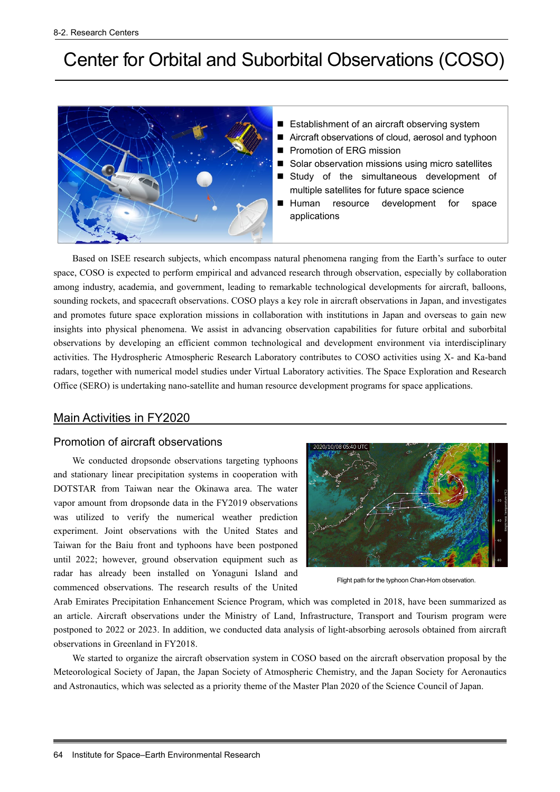# Center for Orbital and Suborbital Observations (COSO)



- Establishment of an aircraft observing system
- Aircraft observations of cloud, aerosol and typhoon
- **Promotion of ERG mission**
- Solar observation missions using micro satellites
- Study of the simultaneous development of multiple satellites for future space science
- Human resource development for space applications

Based on ISEE research subjects, which encompass natural phenomena ranging from the Earth's surface to outer space, COSO is expected to perform empirical and advanced research through observation, especially by collaboration among industry, academia, and government, leading to remarkable technological developments for aircraft, balloons, sounding rockets, and spacecraft observations. COSO plays a key role in aircraft observations in Japan, and investigates and promotes future space exploration missions in collaboration with institutions in Japan and overseas to gain new insights into physical phenomena. We assist in advancing observation capabilities for future orbital and suborbital observations by developing an efficient common technological and development environment via interdisciplinary activities. The Hydrospheric Atmospheric Research Laboratory contributes to COSO activities using X- and Ka-band radars, together with numerical model studies under Virtual Laboratory activities. The Space Exploration and Research Office (SERO) is undertaking nano-satellite and human resource development programs for space applications.

## Main Activities in FY2020

## Promotion of aircraft observations

We conducted dropsonde observations targeting typhoons and stationary linear precipitation systems in cooperation with DOTSTAR from Taiwan near the Okinawa area. The water vapor amount from dropsonde data in the FY2019 observations was utilized to verify the numerical weather prediction experiment. Joint observations with the United States and Taiwan for the Baiu front and typhoons have been postponed until 2022; however, ground observation equipment such as radar has already been installed on Yonaguni Island and commenced observations. The research results of the United



Flight path for the typhoon Chan-Hom observation.

Arab Emirates Precipitation Enhancement Science Program, which was completed in 2018, have been summarized as an article. Aircraft observations under the Ministry of Land, Infrastructure, Transport and Tourism program were postponed to 2022 or 2023. In addition, we conducted data analysis of light-absorbing aerosols obtained from aircraft observations in Greenland in FY2018.

We started to organize the aircraft observation system in COSO based on the aircraft observation proposal by the Meteorological Society of Japan, the Japan Society of Atmospheric Chemistry, and the Japan Society for Aeronautics and Astronautics, which was selected as a priority theme of the Master Plan 2020 of the Science Council of Japan.